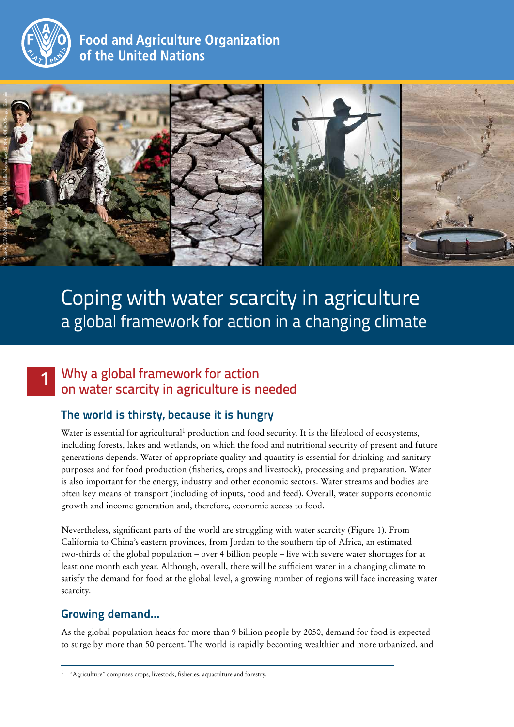

1

# **Food and Agriculture Organization** of the United Nations



# Coping with water scarcity in agriculture a global framework for action in a changing climate

# Why a global framework for action on water scarcity in agriculture is needed

# **The world is thirsty, because it is hungry**

Water is essential for agricultural<sup>1</sup> production and food security. It is the lifeblood of ecosystems, including forests, lakes and wetlands, on which the food and nutritional security of present and future generations depends. Water of appropriate quality and quantity is essential for drinking and sanitary purposes and for food production (fisheries, crops and livestock), processing and preparation. Water is also important for the energy, industry and other economic sectors. Water streams and bodies are often key means of transport (including of inputs, food and feed). Overall, water supports economic growth and income generation and, therefore, economic access to food.

Nevertheless, significant parts of the world are struggling with water scarcity (Figure 1). From California to China's eastern provinces, from Jordan to the southern tip of Africa, an estimated two-thirds of the global population – over 4 billion people – live with severe water shortages for at least one month each year. Although, overall, there will be sufficient water in a changing climate to satisfy the demand for food at the global level, a growing number of regions will face increasing water scarcity.

# **Growing demand…**

As the global population heads for more than 9 billion people by 2050, demand for food is expected to surge by more than 50 percent. The world is rapidly becoming wealthier and more urbanized, and

<sup>1</sup> "Agriculture" comprises crops, livestock, fisheries, aquaculture and forestry.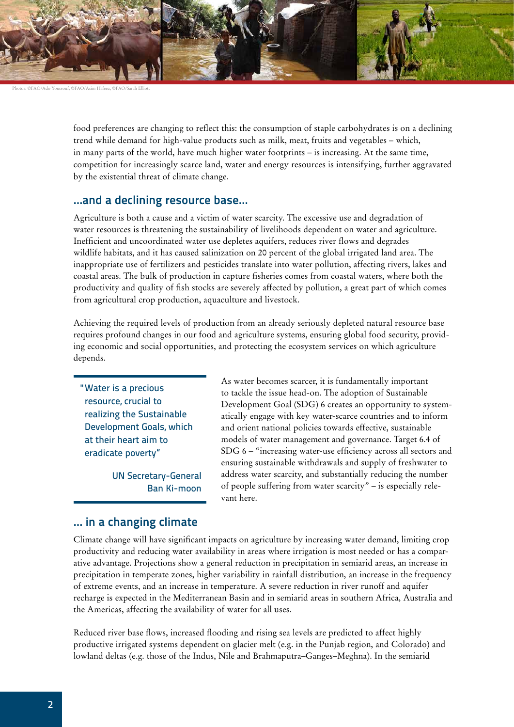

Photos: ©FAO/Ado Youssouf, ©FAO/Asim Hafeez, ©FAO/Sarah Elliott

food preferences are changing to reflect this: the consumption of staple carbohydrates is on a declining trend while demand for high-value products such as milk, meat, fruits and vegetables – which, in many parts of the world, have much higher water footprints – is increasing. At the same time, competition for increasingly scarce land, water and energy resources is intensifying, further aggravated by the existential threat of climate change.

#### **…and a declining resource base…**

Agriculture is both a cause and a victim of water scarcity. The excessive use and degradation of water resources is threatening the sustainability of livelihoods dependent on water and agriculture. Inefficient and uncoordinated water use depletes aquifers, reduces river flows and degrades wildlife habitats, and it has caused salinization on 20 percent of the global irrigated land area. The inappropriate use of fertilizers and pesticides translate into water pollution, affecting rivers, lakes and coastal areas. The bulk of production in capture fisheries comes from coastal waters, where both the productivity and quality of fish stocks are severely affected by pollution, a great part of which comes from agricultural crop production, aquaculture and livestock.

Achieving the required levels of production from an already seriously depleted natural resource base requires profound changes in our food and agriculture systems, ensuring global food security, providing economic and social opportunities, and protecting the ecosystem services on which agriculture depends.

"Water is a precious resource, crucial to realizing the Sustainable Development Goals, which at their heart aim to eradicate poverty"

> UN Secretary-General Ban Ki-moon

As water becomes scarcer, it is fundamentally important to tackle the issue head-on. The adoption of Sustainable Development Goal (SDG) 6 creates an opportunity to systematically engage with key water-scarce countries and to inform and orient national policies towards effective, sustainable models of water management and governance. Target 6.4 of SDG 6 – "increasing water-use efficiency across all sectors and ensuring sustainable withdrawals and supply of freshwater to address water scarcity, and substantially reducing the number of people suffering from water scarcity" – is especially relevant here.

#### **… in a changing climate**

Climate change will have significant impacts on agriculture by increasing water demand, limiting crop productivity and reducing water availability in areas where irrigation is most needed or has a comparative advantage. Projections show a general reduction in precipitation in semiarid areas, an increase in precipitation in temperate zones, higher variability in rainfall distribution, an increase in the frequency of extreme events, and an increase in temperature. A severe reduction in river runoff and aquifer recharge is expected in the Mediterranean Basin and in semiarid areas in southern Africa, Australia and the Americas, affecting the availability of water for all uses.

Reduced river base flows, increased flooding and rising sea levels are predicted to affect highly productive irrigated systems dependent on glacier melt (e.g. in the Punjab region, and Colorado) and lowland deltas (e.g. those of the Indus, Nile and Brahmaputra–Ganges–Meghna). In the semiarid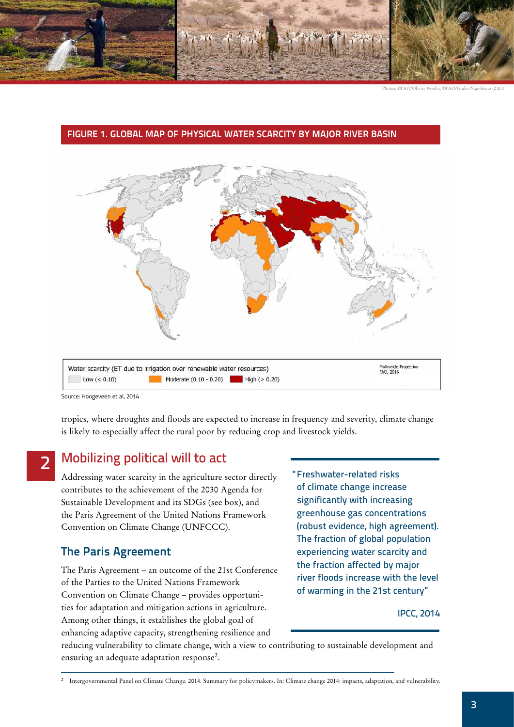

# Mollweide Projection<br>FAO, 2016 Water scarcity (ET due to irrigation over renewable water resources)  $Low (< 0.10)$ Moderate  $(0.10 - 0.20)$  High  $( > 0.20)$

#### **FIGURE 1. GLOBAL MAP OF PHYSICAL WATER SCARCITY BY MAJOR RIVER BASIN**

Source: Hoogeveen et al, 2014

2

tropics, where droughts and floods are expected to increase in frequency and severity, climate change is likely to especially affect the rural poor by reducing crop and livestock yields.

# Mobilizing political will to act

Addressing water scarcity in the agriculture sector directly contributes to the achievement of the 2030 Agenda for Sustainable Development and its SDGs (see box), and the Paris Agreement of the United Nations Framework Convention on Climate Change (UNFCCC).

# **The Paris Agreement**

The Paris Agreement – an outcome of the 21st Conference of the Parties to the United Nations Framework Convention on Climate Change – provides opportunities for adaptation and mitigation actions in agriculture. Among other things, it establishes the global goal of enhancing adaptive capacity, strengthening resilience and

"Freshwater-related risks of climate change increase significantly with increasing greenhouse gas concentrations (robust evidence, high agreement). The fraction of global population experiencing water scarcity and the fraction affected by major river floods increase with the level of warming in the 21st century"

#### IPCC, 2014

reducing vulnerability to climate change, with a view to contributing to sustainable development and ensuring an adequate adaptation response<sup>2</sup>.

<sup>2</sup> Intergovernmental Panel on Climate Change. 2014. Summary for policymakers. In: Climate change 2014: impacts, adaptation, and vulnerability.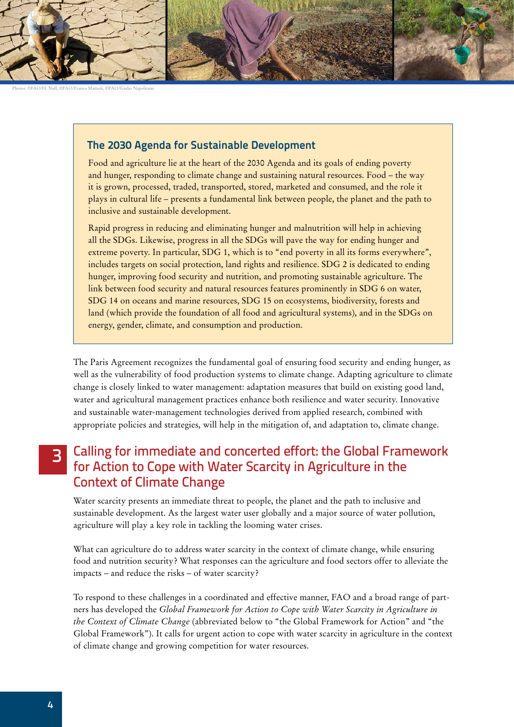

Photos: ©FAO/H. Null, ©FAO/Franco Mattioli, ©FAO/Giulio Napolitano

#### **The 2030 Agenda for Sustainable Development**

Food and agriculture lie at the heart of the 2030 Agenda and its goals of ending poverty and hunger, responding to climate change and sustaining natural resources. Food – the way it is grown, processed, traded, transported, stored, marketed and consumed, and the role it plays in cultural life – presents a fundamental link between people, the planet and the path to inclusive and sustainable development.

Rapid progress in reducing and eliminating hunger and malnutrition will help in achieving all the SDGs. Likewise, progress in all the SDGs will pave the way for ending hunger and extreme poverty. In particular, SDG 1, which is to "end poverty in all its forms everywhere", includes targets on social protection, land rights and resilience. SDG 2 is dedicated to ending hunger, improving food security and nutrition, and promoting sustainable agriculture. The link between food security and natural resources features prominently in SDG 6 on water, SDG 14 on oceans and marine resources, SDG 15 on ecosystems, biodiversity, forests and land (which provide the foundation of all food and agricultural systems), and in the SDGs on energy, gender, climate, and consumption and production.

The Paris Agreement recognizes the fundamental goal of ensuring food security and ending hunger, as well as the vulnerability of food production systems to climate change. Adapting agriculture to climate change is closely linked to water management: adaptation measures that build on existing good land, water and agricultural management practices enhance both resilience and water security. Innovative and sustainable water-management technologies derived from applied research, combined with appropriate policies and strategies, will help in the mitigation of, and adaptation to, climate change.

#### Calling for immediate and concerted effort: the Global Framework for Action to Cope with Water Scarcity in Agriculture in the Context of Climate Change 3

Water scarcity presents an immediate threat to people, the planet and the path to inclusive and sustainable development. As the largest water user globally and a major source of water pollution, agriculture will play a key role in tackling the looming water crises.

What can agriculture do to address water scarcity in the context of climate change, while ensuring food and nutrition security? What responses can the agriculture and food sectors offer to alleviate the impacts – and reduce the risks – of water scarcity?

To respond to these challenges in a coordinated and effective manner, FAO and a broad range of partners has developed the *Global Framework for Action to Cope with Water Scarcity in Agriculture in the Context of Climate Change* (abbreviated below to "the Global Framework for Action" and "the Global Framework"). It calls for urgent action to cope with water scarcity in agriculture in the context of climate change and growing competition for water resources.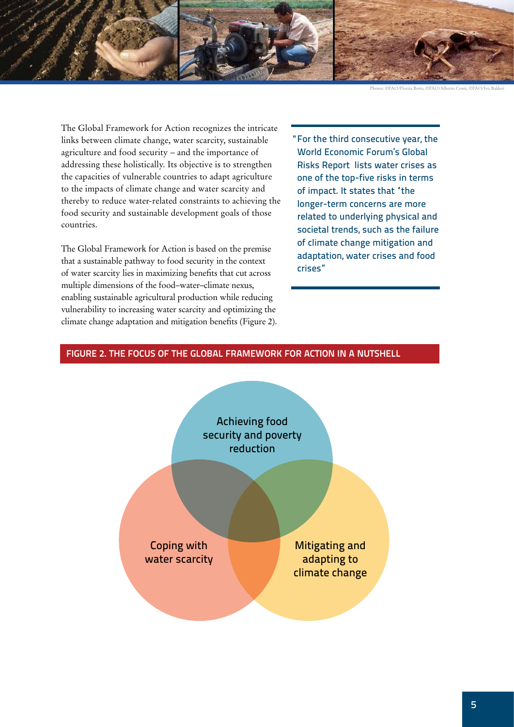

Photos: ©FAO/Florita Botts, ©FAO/Alberto Conti, ©FAO/Ivo Balderi

The Global Framework for Action recognizes the intricate links between climate change, water scarcity, sustainable agriculture and food security – and the importance of addressing these holistically. Its objective is to strengthen the capacities of vulnerable countries to adapt agriculture to the impacts of climate change and water scarcity and thereby to reduce water-related constraints to achieving the food security and sustainable development goals of those countries.

The Global Framework for Action is based on the premise that a sustainable pathway to food security in the context of water scarcity lies in maximizing benefits that cut across multiple dimensions of the food–water–climate nexus, enabling sustainable agricultural production while reducing vulnerability to increasing water scarcity and optimizing the climate change adaptation and mitigation benefits (Figure 2). "For the third consecutive year, the World Economic Forum's Global Risks Report lists water crises as one of the top-five risks in terms of impact. It states that "the longer-term concerns are more related to underlying physical and societal trends, such as the failure of climate change mitigation and adaptation, water crises and food crises"

#### **FIGURE 2. THE FOCUS OF THE GLOBAL FRAMEWORK FOR ACTION IN A NUTSHELL**

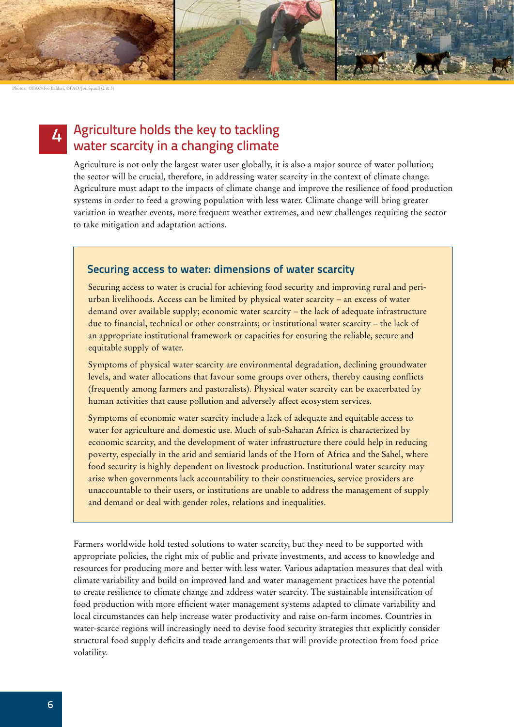Photos: ©FAO/Ivo Balderi, ©FAO/Jon Spaull (2 & 3)

#### Agriculture holds the key to tackling water scarcity in a changing climate 4

Agriculture is not only the largest water user globally, it is also a major source of water pollution; the sector will be crucial, therefore, in addressing water scarcity in the context of climate change. Agriculture must adapt to the impacts of climate change and improve the resilience of food production systems in order to feed a growing population with less water. Climate change will bring greater variation in weather events, more frequent weather extremes, and new challenges requiring the sector to take mitigation and adaptation actions.

#### **Securing access to water: dimensions of water scarcity**

Securing access to water is crucial for achieving food security and improving rural and periurban livelihoods. Access can be limited by physical water scarcity – an excess of water demand over available supply; economic water scarcity – the lack of adequate infrastructure due to financial, technical or other constraints; or institutional water scarcity – the lack of an appropriate institutional framework or capacities for ensuring the reliable, secure and equitable supply of water.

Symptoms of physical water scarcity are environmental degradation, declining groundwater levels, and water allocations that favour some groups over others, thereby causing conflicts (frequently among farmers and pastoralists). Physical water scarcity can be exacerbated by human activities that cause pollution and adversely affect ecosystem services.

Symptoms of economic water scarcity include a lack of adequate and equitable access to water for agriculture and domestic use. Much of sub-Saharan Africa is characterized by economic scarcity, and the development of water infrastructure there could help in reducing poverty, especially in the arid and semiarid lands of the Horn of Africa and the Sahel, where food security is highly dependent on livestock production. Institutional water scarcity may arise when governments lack accountability to their constituencies, service providers are unaccountable to their users, or institutions are unable to address the management of supply and demand or deal with gender roles, relations and inequalities.

Farmers worldwide hold tested solutions to water scarcity, but they need to be supported with appropriate policies, the right mix of public and private investments, and access to knowledge and resources for producing more and better with less water. Various adaptation measures that deal with climate variability and build on improved land and water management practices have the potential to create resilience to climate change and address water scarcity. The sustainable intensification of food production with more efficient water management systems adapted to climate variability and local circumstances can help increase water productivity and raise on-farm incomes. Countries in water-scarce regions will increasingly need to devise food security strategies that explicitly consider structural food supply deficits and trade arrangements that will provide protection from food price volatility.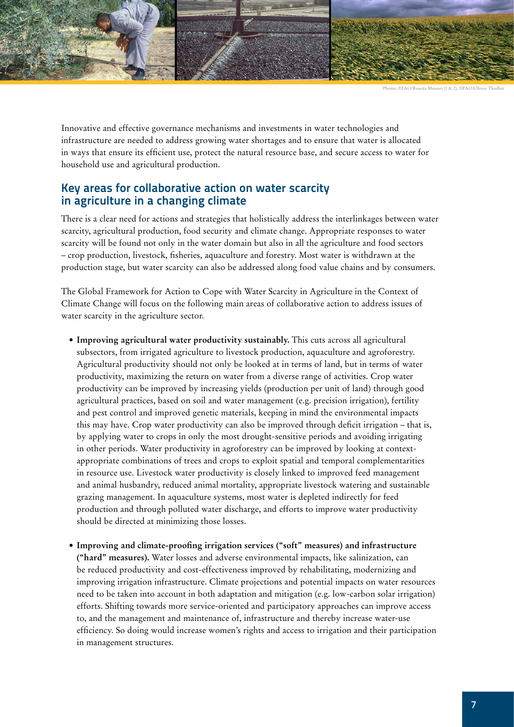

Innovative and effective governance mechanisms and investments in water technologies and infrastructure are needed to address growing water shortages and to ensure that water is allocated in ways that ensure its efficient use, protect the natural resource base, and secure access to water for household use and agricultural production.

#### **Key areas for collaborative action on water scarcity in agriculture in a changing climate**

There is a clear need for actions and strategies that holistically address the interlinkages between water scarcity, agricultural production, food security and climate change. Appropriate responses to water scarcity will be found not only in the water domain but also in all the agriculture and food sectors – crop production, livestock, fisheries, aquaculture and forestry. Most water is withdrawn at the production stage, but water scarcity can also be addressed along food value chains and by consumers.

The Global Framework for Action to Cope with Water Scarcity in Agriculture in the Context of Climate Change will focus on the following main areas of collaborative action to address issues of water scarcity in the agriculture sector.

- **• Improving agricultural water productivity sustainably.** This cuts across all agricultural subsectors, from irrigated agriculture to livestock production, aquaculture and agroforestry. Agricultural productivity should not only be looked at in terms of land, but in terms of water productivity, maximizing the return on water from a diverse range of activities. Crop water productivity can be improved by increasing yields (production per unit of land) through good agricultural practices, based on soil and water management (e.g. precision irrigation), fertility and pest control and improved genetic materials, keeping in mind the environmental impacts this may have. Crop water productivity can also be improved through deficit irrigation – that is, by applying water to crops in only the most drought-sensitive periods and avoiding irrigating in other periods. Water productivity in agroforestry can be improved by looking at contextappropriate combinations of trees and crops to exploit spatial and temporal complementarities in resource use. Livestock water productivity is closely linked to improved feed management and animal husbandry, reduced animal mortality, appropriate livestock watering and sustainable grazing management. In aquaculture systems, most water is depleted indirectly for feed production and through polluted water discharge, and efforts to improve water productivity should be directed at minimizing those losses.
- **• Improving and climate-proofing irrigation services ("soft" measures) and infrastructure ("hard" measures).** Water losses and adverse environmental impacts, like salinization, can be reduced productivity and cost-effectiveness improved by rehabilitating, modernizing and improving irrigation infrastructure. Climate projections and potential impacts on water resources need to be taken into account in both adaptation and mitigation (e.g. low-carbon solar irrigation) efforts. Shifting towards more service-oriented and participatory approaches can improve access to, and the management and maintenance of, infrastructure and thereby increase water-use efficiency. So doing would increase women's rights and access to irrigation and their participation in management structures.

Photos: ©FAO/Rosetta Messori (1 & 2), ©FAO/Olivier Thuillier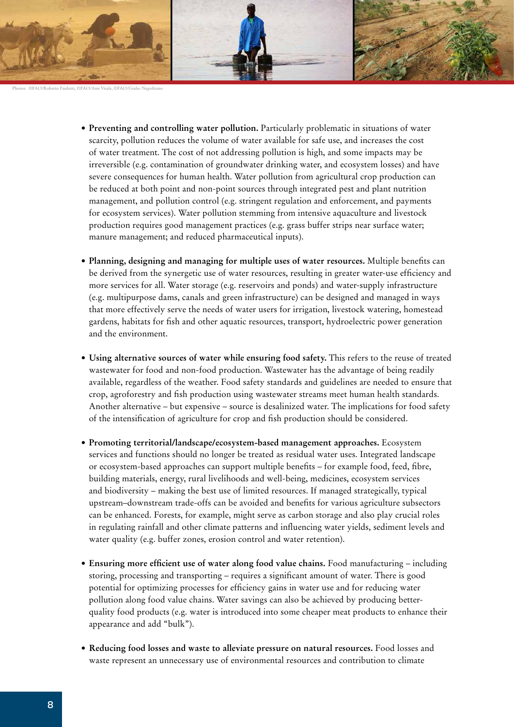

©FAO/Roberto Faidutti, ©FAO/Ami Vitale, ©FAO/Giulio Nap

- **• Preventing and controlling water pollution.** Particularly problematic in situations of water scarcity, pollution reduces the volume of water available for safe use, and increases the cost of water treatment. The cost of not addressing pollution is high, and some impacts may be irreversible (e.g. contamination of groundwater drinking water, and ecosystem losses) and have severe consequences for human health. Water pollution from agricultural crop production can be reduced at both point and non-point sources through integrated pest and plant nutrition management, and pollution control (e.g. stringent regulation and enforcement, and payments for ecosystem services). Water pollution stemming from intensive aquaculture and livestock production requires good management practices (e.g. grass buffer strips near surface water; manure management; and reduced pharmaceutical inputs).
- **• Planning, designing and managing for multiple uses of water resources.** Multiple benefits can be derived from the synergetic use of water resources, resulting in greater water-use efficiency and more services for all. Water storage (e.g. reservoirs and ponds) and water-supply infrastructure (e.g. multipurpose dams, canals and green infrastructure) can be designed and managed in ways that more effectively serve the needs of water users for irrigation, livestock watering, homestead gardens, habitats for fish and other aquatic resources, transport, hydroelectric power generation and the environment.
- **• Using alternative sources of water while ensuring food safety.** This refers to the reuse of treated wastewater for food and non-food production. Wastewater has the advantage of being readily available, regardless of the weather. Food safety standards and guidelines are needed to ensure that crop, agroforestry and fish production using wastewater streams meet human health standards. Another alternative – but expensive – source is desalinized water. The implications for food safety of the intensification of agriculture for crop and fish production should be considered.
- **• Promoting territorial/landscape/ecosystem-based management approaches.** Ecosystem services and functions should no longer be treated as residual water uses. Integrated landscape or ecosystem-based approaches can support multiple benefits – for example food, feed, fibre, building materials, energy, rural livelihoods and well-being, medicines, ecosystem services and biodiversity – making the best use of limited resources. If managed strategically, typical upstream–downstream trade-offs can be avoided and benefits for various agriculture subsectors can be enhanced. Forests, for example, might serve as carbon storage and also play crucial roles in regulating rainfall and other climate patterns and influencing water yields, sediment levels and water quality (e.g. buffer zones, erosion control and water retention).
- **• Ensuring more efficient use of water along food value chains.** Food manufacturing including storing, processing and transporting – requires a significant amount of water. There is good potential for optimizing processes for efficiency gains in water use and for reducing water pollution along food value chains. Water savings can also be achieved by producing betterquality food products (e.g. water is introduced into some cheaper meat products to enhance their appearance and add "bulk").
- **• Reducing food losses and waste to alleviate pressure on natural resources.** Food losses and waste represent an unnecessary use of environmental resources and contribution to climate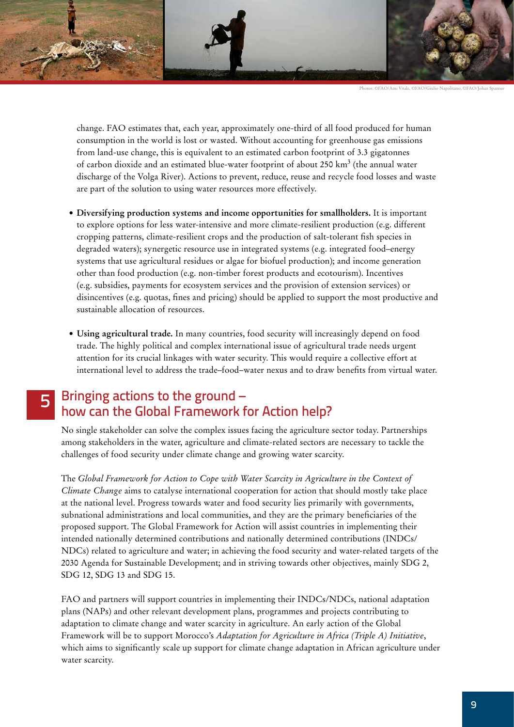

Photos: ©FAO/Ami Vitale, ©FAO/Giulio Napolitano, ©FAO/Johan Sp

change. FAO estimates that, each year, approximately one-third of all food produced for human consumption in the world is lost or wasted. Without accounting for greenhouse gas emissions from land-use change, this is equivalent to an estimated carbon footprint of 3.3 gigatonnes of carbon dioxide and an estimated blue-water footprint of about 250 km<sup>3</sup> (the annual water discharge of the Volga River). Actions to prevent, reduce, reuse and recycle food losses and waste are part of the solution to using water resources more effectively.

- **• Diversifying production systems and income opportunities for smallholders.** It is important to explore options for less water-intensive and more climate-resilient production (e.g. different cropping patterns, climate-resilient crops and the production of salt-tolerant fish species in degraded waters); synergetic resource use in integrated systems (e.g. integrated food–energy systems that use agricultural residues or algae for biofuel production); and income generation other than food production (e.g. non-timber forest products and ecotourism). Incentives (e.g. subsidies, payments for ecosystem services and the provision of extension services) or disincentives (e.g. quotas, fines and pricing) should be applied to support the most productive and sustainable allocation of resources.
- **• Using agricultural trade.** In many countries, food security will increasingly depend on food trade. The highly political and complex international issue of agricultural trade needs urgent attention for its crucial linkages with water security. This would require a collective effort at international level to address the trade–food–water nexus and to draw benefits from virtual water.

# 5 Bringing actions to the ground – how can the Global Framework for Action help?

No single stakeholder can solve the complex issues facing the agriculture sector today. Partnerships among stakeholders in the water, agriculture and climate-related sectors are necessary to tackle the challenges of food security under climate change and growing water scarcity.

The *Global Framework for Action to Cope with Water Scarcity in Agriculture in the Context of Climate Change* aims to catalyse international cooperation for action that should mostly take place at the national level. Progress towards water and food security lies primarily with governments, subnational administrations and local communities, and they are the primary beneficiaries of the proposed support. The Global Framework for Action will assist countries in implementing their intended nationally determined contributions and nationally determined contributions (INDCs/ NDCs) related to agriculture and water; in achieving the food security and water-related targets of the 2030 Agenda for Sustainable Development; and in striving towards other objectives, mainly SDG 2, SDG 12, SDG 13 and SDG 15.

FAO and partners will support countries in implementing their INDCs/NDCs, national adaptation plans (NAPs) and other relevant development plans, programmes and projects contributing to adaptation to climate change and water scarcity in agriculture. An early action of the Global Framework will be to support Morocco's *Adaptation for Agriculture in Africa (Triple A) Initiative*, which aims to significantly scale up support for climate change adaptation in African agriculture under water scarcity.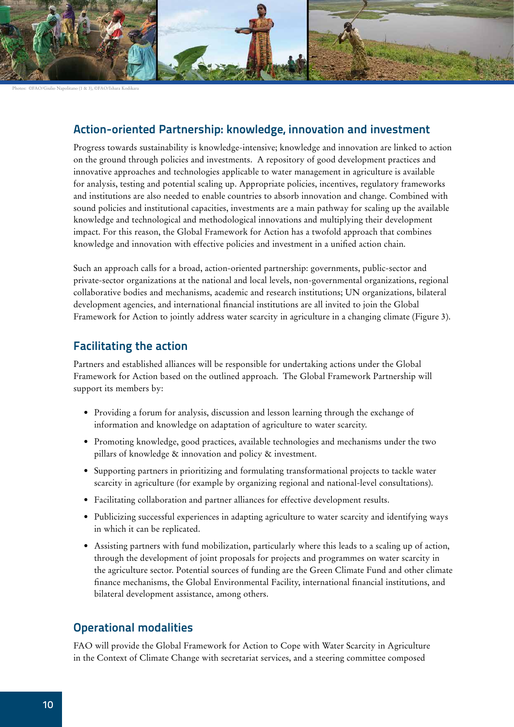

Photos: ©FAO/Giulio Napolitano (1 & 3), ©FAO/Ishara Kodikara

### **Action-oriented Partnership: knowledge, innovation and investment**

Progress towards sustainability is knowledge-intensive; knowledge and innovation are linked to action on the ground through policies and investments. A repository of good development practices and innovative approaches and technologies applicable to water management in agriculture is available for analysis, testing and potential scaling up. Appropriate policies, incentives, regulatory frameworks and institutions are also needed to enable countries to absorb innovation and change. Combined with sound policies and institutional capacities, investments are a main pathway for scaling up the available knowledge and technological and methodological innovations and multiplying their development impact. For this reason, the Global Framework for Action has a twofold approach that combines knowledge and innovation with effective policies and investment in a unified action chain.

Such an approach calls for a broad, action-oriented partnership: governments, public-sector and private-sector organizations at the national and local levels, non-governmental organizations, regional collaborative bodies and mechanisms, academic and research institutions; UN organizations, bilateral development agencies, and international financial institutions are all invited to join the Global Framework for Action to jointly address water scarcity in agriculture in a changing climate (Figure 3).

#### **Facilitating the action**

Partners and established alliances will be responsible for undertaking actions under the Global Framework for Action based on the outlined approach. The Global Framework Partnership will support its members by:

- • Providing a forum for analysis, discussion and lesson learning through the exchange of information and knowledge on adaptation of agriculture to water scarcity.
- • Promoting knowledge, good practices, available technologies and mechanisms under the two pillars of knowledge & innovation and policy & investment.
- • Supporting partners in prioritizing and formulating transformational projects to tackle water scarcity in agriculture (for example by organizing regional and national-level consultations).
- Facilitating collaboration and partner alliances for effective development results.
- • Publicizing successful experiences in adapting agriculture to water scarcity and identifying ways in which it can be replicated.
- • Assisting partners with fund mobilization, particularly where this leads to a scaling up of action, through the development of joint proposals for projects and programmes on water scarcity in the agriculture sector. Potential sources of funding are the Green Climate Fund and other climate finance mechanisms, the Global Environmental Facility, international financial institutions, and bilateral development assistance, among others.

#### **Operational modalities**

FAO will provide the Global Framework for Action to Cope with Water Scarcity in Agriculture in the Context of Climate Change with secretariat services, and a steering committee composed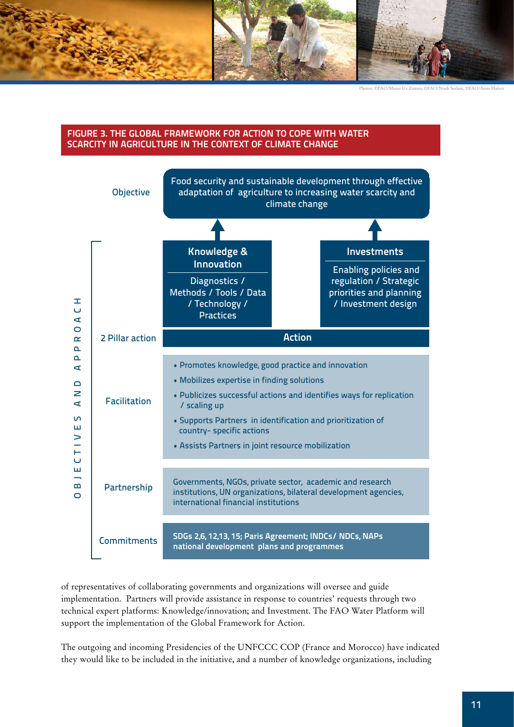

Photos: ©FAO/Munir Uz Zaman, ©FAO/Noah Seelam, ©FAO/Asim Hafeez

#### **FIGURE 3. THE GLOBAL FRAMEWORK FOR ACTION TO COPE WITH WATER SCARCITY IN AGRICULTURE IN THE CONTEXT OF CLIMATE CHANGE**



of representatives of collaborating governments and organizations will oversee and guide implementation. Partners will provide assistance in response to countries' requests through two technical expert platforms: Knowledge/innovation; and Investment. The FAO Water Platform will support the implementation of the Global Framework for Action.

The outgoing and incoming Presidencies of the UNFCCC COP (France and Morocco) have indicated they would like to be included in the initiative, and a number of knowledge organizations, including